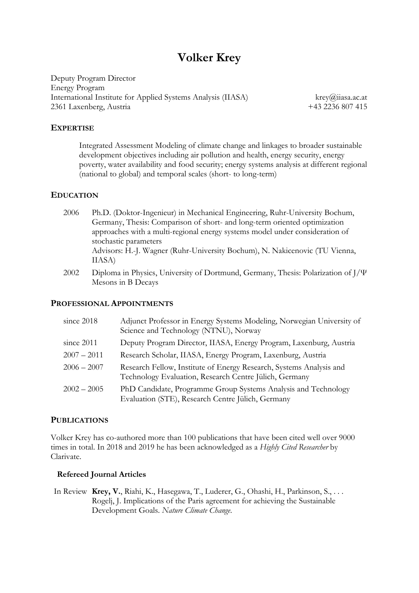# **Volker Krey**

Deputy Program Director Energy Program International Institute for Applied Systems Analysis (IIASA) [krey@](mailto:krey)iiasa.ac.at 2361 Laxenberg, Austria +43 2236 807 415

## **EXPERTISE**

Integrated Assessment Modeling of climate change and linkages to broader sustainable development objectives including air pollution and health, energy security, energy poverty, water availability and food security; energy systems analysis at different regional (national to global) and temporal scales (short- to long-term)

#### **EDUCATION**

- 2006 Ph.D. (Doktor-Ingenieur) in Mechanical Engineering, Ruhr-University Bochum, Germany, Thesis: Comparison of short- and long-term oriented optimization approaches with a multi-regional energy systems model under consideration of stochastic parameters Advisors: H.-J. Wagner (Ruhr-University Bochum), N. Nakicenovic (TU Vienna, IIASA)
- 2002 Diploma in Physics, University of Dortmund, Germany, Thesis: Polarization of  $J/\Psi$ Mesons in B Decays

#### **PROFESSIONAL APPOINTMENTS**

| since 2018    | Adjunct Professor in Energy Systems Modeling, Norwegian University of<br>Science and Technology (NTNU), Norway                |
|---------------|-------------------------------------------------------------------------------------------------------------------------------|
| since 2011    | Deputy Program Director, IIASA, Energy Program, Laxenburg, Austria                                                            |
| $2007 - 2011$ | Research Scholar, IIASA, Energy Program, Laxenburg, Austria                                                                   |
| $2006 - 2007$ | Research Fellow, Institute of Energy Research, Systems Analysis and<br>Technology Evaluation, Research Centre Jülich, Germany |
| $2002 - 2005$ | PhD Candidate, Programme Group Systems Analysis and Technology<br>Evaluation (STE), Research Centre Jülich, Germany           |

#### **PUBLICATIONS**

Volker Krey has co-authored more than 100 publications that have been cited well over 9000 times in total. In 2018 and 2019 he has been acknowledged as a *Highly Cited Researcher* by Clarivate.

### **Refereed Journal Articles**

In Review **Krey, V.**, Riahi, K., Hasegawa, T., Luderer, G., Ohashi, H., Parkinson, S., . . . Rogelj, J. Implications of the Paris agreement for achieving the Sustainable Development Goals. *Nature Climate Change*.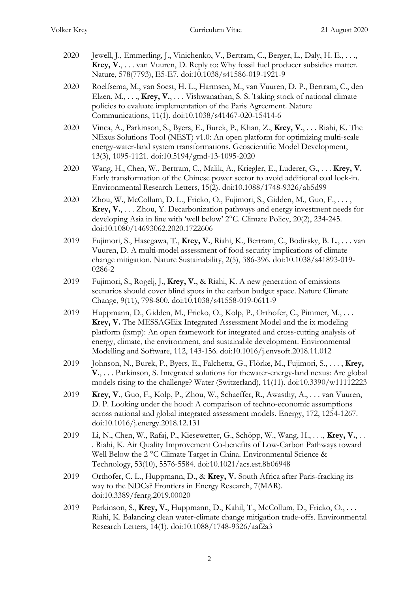- 2020 Jewell, J., Emmerling, J., Vinichenko, V., Bertram, C., Berger, L., Daly, H. E., . . ., **Krey, V.**, . . . van Vuuren, D. Reply to: Why fossil fuel producer subsidies matter. Nature, 578(7793), E5-E7. doi:10.1038/s41586-019-1921-9
- 2020 Roelfsema, M., van Soest, H. L., Harmsen, M., van Vuuren, D. P., Bertram, C., den Elzen, M., . . ., **Krey, V.**, . . . Vishwanathan, S. S. Taking stock of national climate policies to evaluate implementation of the Paris Agreement. Nature Communications, 11(1). doi:10.1038/s41467-020-15414-6
- 2020 Vinca, A., Parkinson, S., Byers, E., Burek, P., Khan, Z., **Krey, V.**, . . . Riahi, K. The NExus Solutions Tool (NEST) v1.0: An open platform for optimizing multi-scale energy-water-land system transformations. Geoscientific Model Development, 13(3), 1095-1121. doi:10.5194/gmd-13-1095-2020
- 2020 Wang, H., Chen, W., Bertram, C., Malik, A., Kriegler, E., Luderer, G., . . . **Krey, V.** Early transformation of the Chinese power sector to avoid additional coal lock-in. Environmental Research Letters, 15(2). doi:10.1088/1748-9326/ab5d99
- 2020 Zhou, W., McCollum, D. L., Fricko, O., Fujimori, S., Gidden, M., Guo, F., . . . , **Krey, V.**, . . . Zhou, Y. Decarbonization pathways and energy investment needs for developing Asia in line with 'well below' 2°C. Climate Policy, 20(2), 234-245. doi:10.1080/14693062.2020.1722606
- 2019 Fujimori, S., Hasegawa, T., **Krey, V.**, Riahi, K., Bertram, C., Bodirsky, B. L., . . . van Vuuren, D. A multi-model assessment of food security implications of climate change mitigation. Nature Sustainability, 2(5), 386-396. doi:10.1038/s41893-019- 0286-2
- 2019 Fujimori, S., Rogelj, J., **Krey, V.**, & Riahi, K. A new generation of emissions scenarios should cover blind spots in the carbon budget space. Nature Climate Change, 9(11), 798-800. doi:10.1038/s41558-019-0611-9
- 2019 Huppmann, D., Gidden, M., Fricko, O., Kolp, P., Orthofer, C., Pimmer, M., . . . **Krey, V.** The MESSAGEix Integrated Assessment Model and the ix modeling platform (ixmp): An open framework for integrated and cross-cutting analysis of energy, climate, the environment, and sustainable development. Environmental Modelling and Software, 112, 143-156. doi:10.1016/j.envsoft.2018.11.012
- 2019 Johnson, N., Burek, P., Byers, E., Falchetta, G., Flörke, M., Fujimori, S., . . . , **Krey, V.**, . . . Parkinson, S. Integrated solutions for thewater-energy-land nexus: Are global models rising to the challenge? Water (Switzerland), 11(11). doi:10.3390/w11112223
- 2019 **Krey, V.**, Guo, F., Kolp, P., Zhou, W., Schaeffer, R., Awasthy, A., . . . van Vuuren, D. P. Looking under the hood: A comparison of techno-economic assumptions across national and global integrated assessment models. Energy, 172, 1254-1267. doi:10.1016/j.energy.2018.12.131
- 2019 Li, N., Chen, W., Rafaj, P., Kiesewetter, G., Schöpp, W., Wang, H., . . ., **Krey, V.**, . . . Riahi, K. Air Quality Improvement Co-benefits of Low-Carbon Pathways toward Well Below the 2 °C Climate Target in China. Environmental Science & Technology, 53(10), 5576-5584. doi:10.1021/acs.est.8b06948
- 2019 Orthofer, C. L., Huppmann, D., & **Krey, V.** South Africa after Paris-fracking its way to the NDCs? Frontiers in Energy Research, 7(MAR). doi:10.3389/fenrg.2019.00020
- 2019 Parkinson, S., **Krey, V.**, Huppmann, D., Kahil, T., McCollum, D., Fricko, O., . . . Riahi, K. Balancing clean water-climate change mitigation trade-offs. Environmental Research Letters, 14(1). doi:10.1088/1748-9326/aaf2a3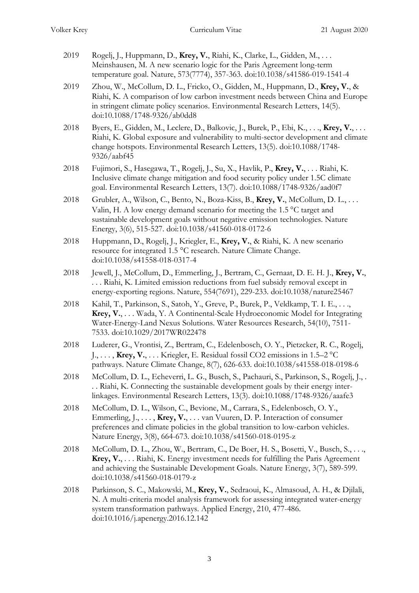- 2019 Rogelj, J., Huppmann, D., **Krey, V.**, Riahi, K., Clarke, L., Gidden, M., . . . Meinshausen, M. A new scenario logic for the Paris Agreement long-term temperature goal. Nature, 573(7774), 357-363. doi:10.1038/s41586-019-1541-4
- 2019 Zhou, W., McCollum, D. L., Fricko, O., Gidden, M., Huppmann, D., **Krey, V.**, & Riahi, K. A comparison of low carbon investment needs between China and Europe in stringent climate policy scenarios. Environmental Research Letters, 14(5). doi:10.1088/1748-9326/ab0dd8
- 2018 Byers, E., Gidden, M., Leclere, D., Balkovic, J., Burek, P., Ebi, K., . . ., **Krey, V.**, . . . Riahi, K. Global exposure and vulnerability to multi-sector development and climate change hotspots. Environmental Research Letters, 13(5). doi:10.1088/1748- 9326/aabf45
- 2018 Fujimori, S., Hasegawa, T., Rogelj, J., Su, X., Havlik, P., **Krey, V.**, . . . Riahi, K. Inclusive climate change mitigation and food security policy under 1.5C climate goal. Environmental Research Letters, 13(7). doi:10.1088/1748-9326/aad0f7
- 2018 Grubler, A., Wilson, C., Bento, N., Boza-Kiss, B., **Krey, V.**, McCollum, D. L., . . . Valin, H. A low energy demand scenario for meeting the 1.5 °C target and sustainable development goals without negative emission technologies. Nature Energy, 3(6), 515-527. doi:10.1038/s41560-018-0172-6
- 2018 Huppmann, D., Rogelj, J., Kriegler, E., **Krey, V.**, & Riahi, K. A new scenario resource for integrated 1.5 °C research. Nature Climate Change. doi:10.1038/s41558-018-0317-4
- 2018 Jewell, J., McCollum, D., Emmerling, J., Bertram, C., Gernaat, D. E. H. J., **Krey, V.**, . . . Riahi, K. Limited emission reductions from fuel subsidy removal except in energy-exporting regions. Nature, 554(7691), 229-233. doi:10.1038/nature25467
- 2018 Kahil, T., Parkinson, S., Satoh, Y., Greve, P., Burek, P., Veldkamp, T. I. E., . . ., **Krey, V.**, . . . Wada, Y. A Continental-Scale Hydroeconomic Model for Integrating Water-Energy-Land Nexus Solutions. Water Resources Research, 54(10), 7511- 7533. doi:10.1029/2017WR022478
- 2018 Luderer, G., Vrontisi, Z., Bertram, C., Edelenbosch, O. Y., Pietzcker, R. C., Rogelj, J., . . . , **Krey, V.**, . . . Kriegler, E. Residual fossil CO2 emissions in 1.5–2 °C pathways. Nature Climate Change, 8(7), 626-633. doi:10.1038/s41558-018-0198-6
- 2018 McCollum, D. L., Echeverri, L. G., Busch, S., Pachauri, S., Parkinson, S., Rogelj, J., . . . Riahi, K. Connecting the sustainable development goals by their energy interlinkages. Environmental Research Letters, 13(3). doi:10.1088/1748-9326/aaafe3
- 2018 McCollum, D. L., Wilson, C., Bevione, M., Carrara, S., Edelenbosch, O. Y., Emmerling, J., . . . , **Krey, V.**, . . . van Vuuren, D. P. Interaction of consumer preferences and climate policies in the global transition to low-carbon vehicles. Nature Energy, 3(8), 664-673. doi:10.1038/s41560-018-0195-z
- 2018 McCollum, D. L., Zhou, W., Bertram, C., De Boer, H. S., Bosetti, V., Busch, S., . . ., **Krey, V.**, . . . Riahi, K. Energy investment needs for fulfilling the Paris Agreement and achieving the Sustainable Development Goals. Nature Energy, 3(7), 589-599. doi:10.1038/s41560-018-0179-z
- 2018 Parkinson, S. C., Makowski, M., **Krey, V.**, Sedraoui, K., Almasoud, A. H., & Djilali, N. A multi-criteria model analysis framework for assessing integrated water-energy system transformation pathways. Applied Energy, 210, 477-486. doi:10.1016/j.apenergy.2016.12.142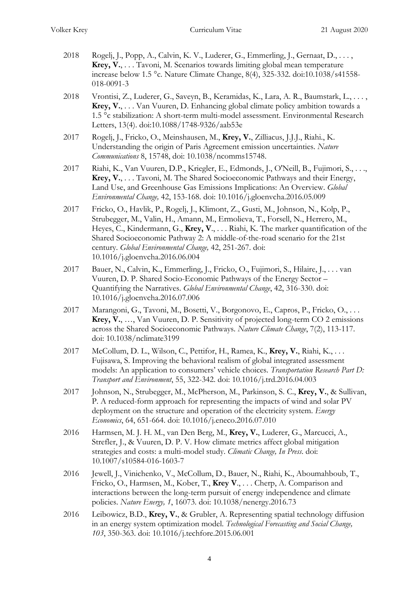- 2018 Rogelj, J., Popp, A., Calvin, K. V., Luderer, G., Emmerling, J., Gernaat, D., . . . , **Krey, V.**, . . . Tavoni, M. Scenarios towards limiting global mean temperature increase below 1.5 °c. Nature Climate Change, 8(4), 325-332. doi:10.1038/s41558- 018-0091-3
- 2018 Vrontisi, Z., Luderer, G., Saveyn, B., Keramidas, K., Lara, A. R., Baumstark, L., . . . , **Krey, V.**, . . . Van Vuuren, D. Enhancing global climate policy ambition towards a 1.5 °c stabilization: A short-term multi-model assessment. Environmental Research Letters, 13(4). doi:10.1088/1748-9326/aab53e
- 2017 Rogelj, J., Fricko, O., Meinshausen, M., **Krey, V.**, Zilliacus, J.J.J., Riahi., K. Understanding the origin of Paris Agreement emission uncertainties. *Nature Communications* 8, 15748, doi: 10.1038/ncomms15748.
- 2017 Riahi, K., Van Vuuren, D.P., Kriegler, E., Edmonds, J., O'Neill, B., Fujimori, S., . . ., **Krey, V.**, . . . Tavoni, M. The Shared Socioeconomic Pathways and their Energy, Land Use, and Greenhouse Gas Emissions Implications: An Overview. *Global Environmental Change,* 42, 153-168. doi: 10.1016/j.gloenvcha.2016.05.009
- 2017 Fricko, O., Havlik, P., Rogelj, J., Klimont, Z., Gusti, M., Johnson, N., Kolp, P., Strubegger, M., Valin, H., Amann, M., Ermolieva, T., Forsell, N., Herrero, M., Heyes, C., Kindermann, G., **Krey, V**., . . . Riahi, K. The marker quantification of the Shared Socioeconomic Pathway 2: A middle-of-the-road scenario for the 21st century. *Global Environmental Change,* 42, 251-267. doi: 10.1016/j.gloenvcha.2016.06.004
- 2017 Bauer, N., Calvin, K., Emmerling, J., Fricko, O., Fujimori, S., Hilaire, J., . . . van Vuuren, D. P. Shared Socio-Economic Pathways of the Energy Sector – Quantifying the Narratives. *Global Environmental Change*, 42, 316-330. doi: 10.1016/j.gloenvcha.2016.07.006
- 2017 Marangoni, G., Tavoni, M., Bosetti, V., Borgonovo, E., Capros, P., Fricko, O., ... **Krey, V.**, …, Van Vuuren, D. P. Sensitivity of projected long-term CO 2 emissions across the Shared Socioeconomic Pathways. *Nature Climate Change*, 7(2), 113-117. doi: 10.1038/nclimate3199
- 2017 McCollum, D. L., Wilson, C., Pettifor, H., Ramea, K., **Krey, V.**, Riahi, K., . . . Fujisawa, S. Improving the behavioral realism of global integrated assessment models: An application to consumers' vehicle choices. *Transportation Research Part D: Transport and Environment*, 55, 322-342. doi: 10.1016/j.trd.2016.04.003
- 2017 Johnson, N., Strubegger, M., McPherson, M., Parkinson, S. C., **Krey, V.**, & Sullivan, P. A reduced-form approach for representing the impacts of wind and solar PV deployment on the structure and operation of the electricity system. *Energy Economics*, 64, 651-664. doi: 10.1016/j.eneco.2016.07.010
- 2016 Harmsen, M. J. H. M., van Den Berg, M., **Krey, V.**, Luderer, G., Marcucci, A., Strefler, J., & Vuuren, D. P. V. How climate metrics affect global mitigation strategies and costs: a multi-model study. *Climatic Change, In Press*. doi: 10.1007/s10584-016-1603-7
- 2016 Jewell, J., Vinichenko, V., McCollum, D., Bauer, N., Riahi, K., Aboumahboub, T., Fricko, O., Harmsen, M., Kober, T., **Krey V**., . . . Cherp, A. Comparison and interactions between the long-term pursuit of energy independence and climate policies. *Nature Energy, 1*, 16073. doi: 10.1038/nenergy.2016.73
- 2016 Leibowicz, B.D., **Krey, V.**, & Grubler, A. Representing spatial technology diffusion in an energy system optimization model. *Technological Forecasting and Social Change, 103*, 350-363. doi: 10.1016/j.techfore.2015.06.001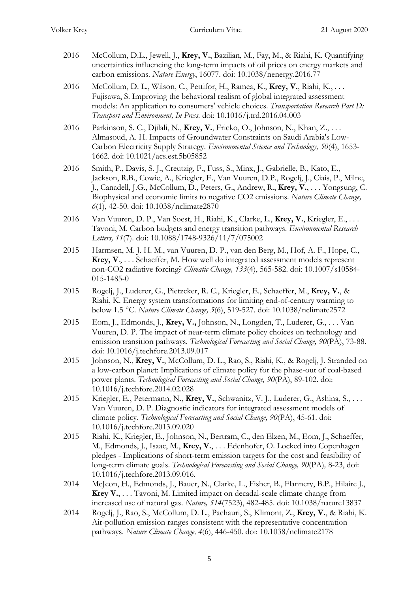- 2016 McCollum, D.L., Jewell, J., **Krey, V.**, Bazilian, M., Fay, M., & Riahi, K. Quantifying uncertainties influencing the long-term impacts of oil prices on energy markets and carbon emissions. *Nature Energy*, 16077. doi: 10.1038/nenergy.2016.77
- 2016 McCollum, D. L., Wilson, C., Pettifor, H., Ramea, K., **Krey, V.**, Riahi, K., . . . Fujisawa, S. Improving the behavioral realism of global integrated assessment models: An application to consumers' vehicle choices. *Transportation Research Part D: Transport and Environment, In Press*. doi: 10.1016/j.trd.2016.04.003
- 2016 Parkinson, S. C., Djilali, N., **Krey, V.**, Fricko, O., Johnson, N., Khan, Z., . . . Almasoud, A. H. Impacts of Groundwater Constraints on Saudi Arabia's Low-Carbon Electricity Supply Strategy. *Environmental Science and Technology, 50*(4), 1653- 1662. doi: 10.1021/acs.est.5b05852
- 2016 Smith, P., Davis, S. J., Creutzig, F., Fuss, S., Minx, J., Gabrielle, B., Kato, E., Jackson, R.B., Cowie, A., Kriegler, E., Van Vuuren, D.P., Rogelj, J., Ciais, P., Milne, J., Canadell, J.G., McCollum, D., Peters, G., Andrew, R., **Krey, V.**, . . . Yongsung, C. Biophysical and economic limits to negative CO2 emissions. *Nature Climate Change, 6*(1), 42-50. doi: 10.1038/nclimate2870
- 2016 Van Vuuren, D. P., Van Soest, H., Riahi, K., Clarke, L., **Krey, V.**, Kriegler, E., . . . Tavoni, M. Carbon budgets and energy transition pathways. *Environmental Research Letters, 11*(7). doi: 10.1088/1748-9326/11/7/075002
- 2015 Harmsen, M. J. H. M., van Vuuren, D. P., van den Berg, M., Hof, A. F., Hope, C., **Krey, V**., . . . Schaeffer, M. How well do integrated assessment models represent non-CO2 radiative forcing? *Climatic Change, 133*(4), 565-582. doi: 10.1007/s10584- 015-1485-0
- 2015 Rogelj, J., Luderer, G., Pietzcker, R. C., Kriegler, E., Schaeffer, M., **Krey, V.**, & Riahi, K. Energy system transformations for limiting end-of-century warming to below 1.5 °C. *Nature Climate Change, 5*(6), 519-527. doi: 10.1038/nclimate2572
- 2015 Eom, J., Edmonds, J., **Krey, V.,** Johnson, N., Longden, T., Luderer, G., . . . Van Vuuren, D. P. The impact of near-term climate policy choices on technology and emission transition pathways. *Technological Forecasting and Social Change, 90*(PA), 73-88. doi: 10.1016/j.techfore.2013.09.017
- 2015 Johnson, N., **Krey, V.**, McCollum, D. L., Rao, S., Riahi, K., & Rogelj, J. Stranded on a low-carbon planet: Implications of climate policy for the phase-out of coal-based power plants. *Technological Forecasting and Social Change, 90*(PA), 89-102. doi: 10.1016/j.techfore.2014.02.028
- 2015 Kriegler, E., Petermann, N., **Krey, V.**, Schwanitz, V. J., Luderer, G., Ashina, S., . . . Van Vuuren, D. P. Diagnostic indicators for integrated assessment models of climate policy. *Technological Forecasting and Social Change, 90*(PA), 45-61. doi: 10.1016/j.techfore.2013.09.020
- 2015 Riahi, K., Kriegler, E., Johnson, N., Bertram, C., den Elzen, M., Eom, J., Schaeffer, M., Edmonds, J., Isaac, M., **Krey, V.**, . . . Edenhofer, O. Locked into Copenhagen pledges - Implications of short-term emission targets for the cost and feasibility of long-term climate goals. *Technological Forecasting and Social Change, 90*(PA)*,* 8-23, doi: 10.1016/j.techfore.2013.09.016.
- 2014 McJeon, H., Edmonds, J., Bauer, N., Clarke, L., Fisher, B., Flannery, B.P., Hilaire J., **Krey V.**, . . . Tavoni, M. Limited impact on decadal-scale climate change from increased use of natural gas. *Nature, 514*(7523), 482-485. doi: 10.1038/nature13837
- 2014 Rogelj, J., Rao, S., McCollum, D. L., Pachauri, S., Klimont, Z., **Krey, V.**, & Riahi, K. Air-pollution emission ranges consistent with the representative concentration pathways. *Nature Climate Change, 4*(6), 446-450. doi: 10.1038/nclimate2178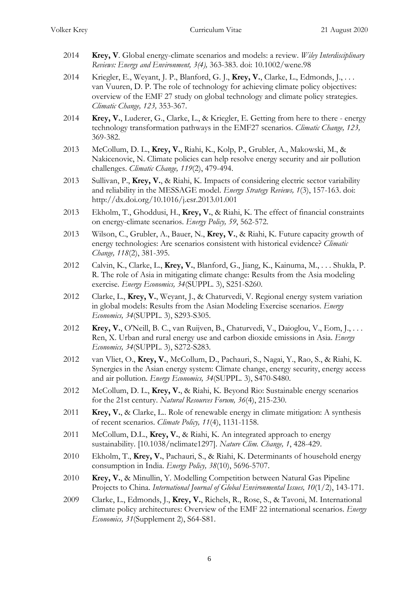- 2014 **Krey, V**. Global energy-climate scenarios and models: a review. *Wiley Interdisciplinary Reviews: Energy and Environment, 3(4),* 363-383. doi: 10.1002/wene.98
- 2014 Kriegler, E., Weyant, J. P., Blanford, G. J., **Krey, V.**, Clarke, L., Edmonds, J., . . . van Vuuren, D. P. The role of technology for achieving climate policy objectives: overview of the EMF 27 study on global technology and climate policy strategies. *Climatic Change, 123,* 353-367.
- 2014 **Krey, V.**, Luderer, G., Clarke, L., & Kriegler, E. Getting from here to there energy technology transformation pathways in the EMF27 scenarios. *Climatic Change, 123,* 369-382.
- 2013 McCollum, D. L., **Krey, V.**, Riahi, K., Kolp, P., Grubler, A., Makowski, M., & Nakicenovic, N. Climate policies can help resolve energy security and air pollution challenges. *Climatic Change, 119*(2), 479-494.
- 2013 Sullivan, P., **Krey, V.**, & Riahi, K. Impacts of considering electric sector variability and reliability in the MESSAGE model. *Energy Strategy Reviews, 1*(3), 157-163. doi: http://dx.doi.org/10.1016/j.esr.2013.01.001
- 2013 Ekholm, T., Ghoddusi, H., **Krey, V.**, & Riahi, K. The effect of financial constraints on energy-climate scenarios. *Energy Policy, 59*, 562-572.
- 2013 Wilson, C., Grubler, A., Bauer, N., **Krey, V.**, & Riahi, K. Future capacity growth of energy technologies: Are scenarios consistent with historical evidence? *Climatic Change, 118*(2), 381-395.
- 2012 Calvin, K., Clarke, L., **Krey, V.**, Blanford, G., Jiang, K., Kainuma, M., . . . Shukla, P. R. The role of Asia in mitigating climate change: Results from the Asia modeling exercise. *Energy Economics, 34*(SUPPL. 3), S251-S260.
- 2012 Clarke, L., **Krey, V.**, Weyant, J., & Chaturvedi, V. Regional energy system variation in global models: Results from the Asian Modeling Exercise scenarios. *Energy Economics, 34*(SUPPL. 3), S293-S305.
- 2012 **Krey, V.**, O'Neill, B. C., van Ruijven, B., Chaturvedi, V., Daioglou, V., Eom, J., . . . Ren, X. Urban and rural energy use and carbon dioxide emissions in Asia. *Energy Economics, 34*(SUPPL. 3), S272-S283.
- 2012 van Vliet, O., **Krey, V.**, McCollum, D., Pachauri, S., Nagai, Y., Rao, S., & Riahi, K. Synergies in the Asian energy system: Climate change, energy security, energy access and air pollution. *Energy Economics, 34*(SUPPL. 3), S470-S480.
- 2012 McCollum, D. L., **Krey, V.**, & Riahi, K. Beyond Rio: Sustainable energy scenarios for the 21st century. *Natural Resources Forum, 36*(4), 215-230.
- 2011 **Krey, V.**, & Clarke, L.. Role of renewable energy in climate mitigation: A synthesis of recent scenarios. *Climate Policy, 11*(4), 1131-1158.
- 2011 McCollum, D.L., **Krey, V.**, & Riahi, K. An integrated approach to energy sustainability. [10.1038/nclimate1297]. *Nature Clim. Change, 1*, 428-429.
- 2010 Ekholm, T., **Krey, V.**, Pachauri, S., & Riahi, K. Determinants of household energy consumption in India. *Energy Policy, 38*(10), 5696-5707.
- 2010 **Krey, V.**, & Minullin, Y. Modelling Competition between Natural Gas Pipeline Projects to China. *International Journal of Global Environmental Issues, 10*(1/2), 143-171.
- 2009 Clarke, L., Edmonds, J., **Krey, V.**, Richels, R., Rose, S., & Tavoni, M. International climate policy architectures: Overview of the EMF 22 international scenarios. *Energy Economics, 31*(Supplement 2), S64-S81.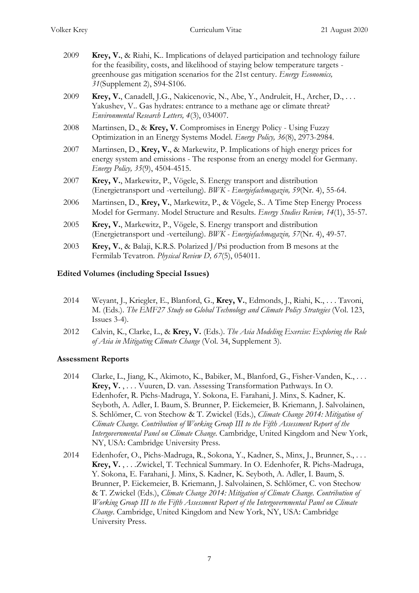- 2009 **Krey, V.**, & Riahi, K.. Implications of delayed participation and technology failure for the feasibility, costs, and likelihood of staying below temperature targets greenhouse gas mitigation scenarios for the 21st century. *Energy Economics, 31*(Supplement 2), S94-S106.
- 2009 **Krey, V.**, Canadell, J.G., Nakicenovic, N., Abe, Y., Andruleit, H., Archer, D., . . . Yakushev, V.. Gas hydrates: entrance to a methane age or climate threat? *Environmental Research Letters, 4*(3), 034007.
- 2008 Martinsen, D., & **Krey, V.** Compromises in Energy Policy Using Fuzzy Optimization in an Energy Systems Model. *Energy Policy, 36*(8), 2973-2984.
- 2007 Martinsen, D., **Krey, V.**, & Markewitz, P. Implications of high energy prices for energy system and emissions - The response from an energy model for Germany. *Energy Policy, 35*(9), 4504-4515.
- 2007 **Krey, V.**, Markewitz, P., Vögele, S. Energy transport and distribution (Energietransport und -verteilung). *BWK - Energiefachmagazin, 59*(Nr. 4), 55-64.
- 2006 Martinsen, D., **Krey, V.**, Markewitz, P., & Vögele, S.. A Time Step Energy Process Model for Germany. Model Structure and Results. *Energy Studies Review, 14*(1), 35-57.
- 2005 **Krey, V.**, Markewitz, P., Vögele, S. Energy transport and distribution (Energietransport und -verteilung). *BWK - Energiefachmagazin, 57*(Nr. 4), 49-57.
- 2003 **Krey, V.**, & Balaji, K.R.S. Polarized J/Psi production from B mesons at the Fermilab Tevatron. *Physical Review D, 67*(5), 054011.

## **Edited Volumes (including Special Issues)**

- 2014 Weyant, J., Kriegler, E., Blanford, G., **Krey, V.**, Edmonds, J., Riahi, K., . . . Tavoni, M. (Eds.). *The EMF27 Study on Global Technology and Climate Policy Strategies* (Vol. 123, Issues 3-4).
- 2012 Calvin, K., Clarke, L., & **Krey, V.** (Eds.). *The Asia Modeling Exercise: Exploring the Role of Asia in Mitigating Climate Change* (Vol. 34, Supplement 3).

## **Assessment Reports**

- 2014 Clarke, L., Jiang, K., Akimoto, K., Babiker, M., Blanford, G., Fisher-Vanden, K., ... **Krey, V.** , . . . Vuuren, D. van. Assessing Transformation Pathways. In O. Edenhofer, R. Pichs-Madruga, Y. Sokona, E. Farahani, J. Minx, S. Kadner, K. Seyboth, A. Adler, I. Baum, S. Brunner, P. Eickemeier, B. Kriemann, J. Salvolainen, S. Schlömer, C. von Stechow & T. Zwickel (Eds.), *Climate Change 2014: Mitigation of Climate Change. Contribution of Working Group III to the Fifth Assessment Report of the Intergovernmental Panel on Climate Change*. Cambridge, United Kingdom and New York, NY, USA: Cambridge University Press.
- 2014 Edenhofer, O., Pichs-Madruga, R., Sokona, Y., Kadner, S., Minx, J., Brunner, S., . . . **Krey, V.** , . . .Zwickel, T. Technical Summary. In O. Edenhofer, R. Pichs-Madruga, Y. Sokona, E. Farahani, J. Minx, S. Kadner, K. Seyboth, A. Adler, I. Baum, S. Brunner, P. Eickemeier, B. Kriemann, J. Salvolainen, S. Schlömer, C. von Stechow & T. Zwickel (Eds.), *Climate Change 2014: Mitigation of Climate Change. Contribution of Working Group III to the Fifth Assessment Report of the Intergovernmental Panel on Climate Change*. Cambridge, United Kingdom and New York, NY, USA: Cambridge University Press.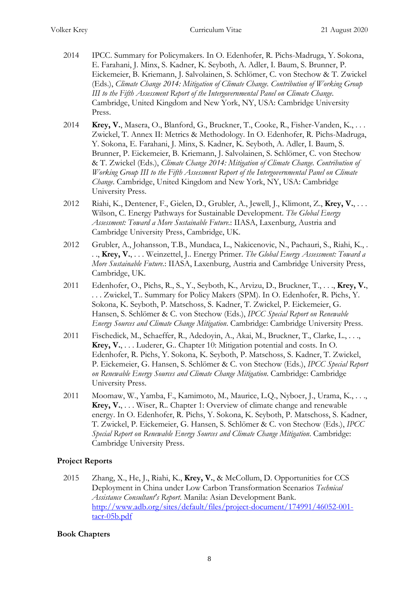- 2014 IPCC. Summary for Policymakers. In O. Edenhofer, R. Pichs-Madruga, Y. Sokona, E. Farahani, J. Minx, S. Kadner, K. Seyboth, A. Adler, I. Baum, S. Brunner, P. Eickemeier, B. Kriemann, J. Salvolainen, S. Schlömer, C. von Stechow & T. Zwickel (Eds.), *Climate Change 2014: Mitigation of Climate Change. Contribution of Working Group III to the Fifth Assessment Report of the Intergovernmental Panel on Climate Change*. Cambridge, United Kingdom and New York, NY, USA: Cambridge University Press.
- 2014 **Krey, V.**, Masera, O., Blanford, G., Bruckner, T., Cooke, R., Fisher-Vanden, K., . . . Zwickel, T. Annex II: Metrics & Methodology. In O. Edenhofer, R. Pichs-Madruga, Y. Sokona, E. Farahani, J. Minx, S. Kadner, K. Seyboth, A. Adler, I. Baum, S. Brunner, P. Eickemeier, B. Kriemann, J. Salvolainen, S. Schlömer, C. von Stechow & T. Zwickel (Eds.), *Climate Change 2014: Mitigation of Climate Change. Contribution of Working Group III to the Fifth Assessment Report of the Intergovernmental Panel on Climate Change*. Cambridge, United Kingdom and New York, NY, USA: Cambridge University Press.
- 2012 Riahi, K., Dentener, F., Gielen, D., Grubler, A., Jewell, J., Klimont, Z., **Krey, V.**, . . . Wilson, C. Energy Pathways for Sustainable Development. *The Global Energy Assessment: Toward a More Sustainable Future.*: IIASA, Laxenburg, Austria and Cambridge University Press, Cambridge, UK.
- 2012 Grubler, A., Johansson, T.B., Mundaca, L., Nakicenovic, N., Pachauri, S., Riahi, K., . . ., **Krey, V.**, . . . Weinzettel, J.. Energy Primer. *The Global Energy Assessment: Toward a More Sustainable Future.*: IIASA, Laxenburg, Austria and Cambridge University Press, Cambridge, UK.
- 2011 Edenhofer, O., Pichs, R., S., Y., Seyboth, K., Arvizu, D., Bruckner, T., . . ., **Krey, V.**, . . . Zwickel, T.. Summary for Policy Makers (SPM). In O. Edenhofer, R. Pichs, Y. Sokona, K. Seyboth, P. Matschoss, S. Kadner, T. Zwickel, P. Eickemeier, G. Hansen, S. Schlömer & C. von Stechow (Eds.), *IPCC Special Report on Renewable Energy Sources and Climate Change Mitigation*. Cambridge: Cambridge University Press.
- 2011 Fischedick, M., Schaeffer, R., Adedoyin, A., Akai, M., Bruckner, T., Clarke, L., . . ., **Krey, V.**, . . . Luderer, G.. Chapter 10: Mitigation potential and costs. In O. Edenhofer, R. Pichs, Y. Sokona, K. Seyboth, P. Matschoss, S. Kadner, T. Zwickel, P. Eickemeier, G. Hansen, S. Schlömer & C. von Stechow (Eds.), *IPCC Special Report on Renewable Energy Sources and Climate Change Mitigation*. Cambridge: Cambridge University Press.
- 2011 Moomaw, W., Yamba, F., Kamimoto, M., Maurice, L.Q., Nyboer, J., Urama, K., . . ., **Krey, V.**, . . . Wiser, R.. Chapter 1: Overview of climate change and renewable energy. In O. Edenhofer, R. Pichs, Y. Sokona, K. Seyboth, P. Matschoss, S. Kadner, T. Zwickel, P. Eickemeier, G. Hansen, S. Schlömer & C. von Stechow (Eds.), *IPCC Special Report on Renewable Energy Sources and Climate Change Mitigation*. Cambridge: Cambridge University Press.

# **Project Reports**

2015 Zhang, X., He, J., Riahi, K., **Krey, V.**, & McCollum, D. Opportunities for CCS Deployment in China under Low Carbon Transformation Scenarios *Technical Assistance Consultant's Report*. Manila: Asian Development Bank. [http://www.adb.org/sites/default/files/project-document/174991/46052-001](http://www.adb.org/sites/default/files/project-document/174991/46052-001-tacr-05b.pdf) [tacr-05b.pdf](http://www.adb.org/sites/default/files/project-document/174991/46052-001-tacr-05b.pdf)

## **Book Chapters**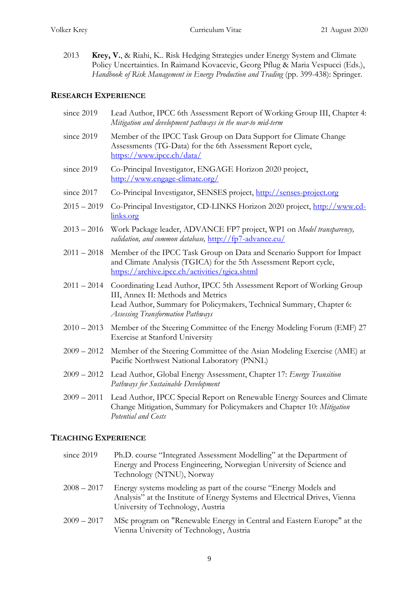2013 **Krey, V.**, & Riahi, K.. Risk Hedging Strategies under Energy System and Climate Policy Uncertainties. In Raimand Kovacevic, Georg Pflug & Maria Vespucci (Eds.), *Handbook of Risk Management in Energy Production and Trading* (pp. 399-438): Springer.

# **RESEARCH EXPERIENCE**

| since 2019    | Lead Author, IPCC 6th Assessment Report of Working Group III, Chapter 4:<br>Mitigation and development pathways in the near-to mid-term                                                                                         |
|---------------|---------------------------------------------------------------------------------------------------------------------------------------------------------------------------------------------------------------------------------|
| since 2019    | Member of the IPCC Task Group on Data Support for Climate Change<br>Assessments (TG-Data) for the 6th Assessment Report cycle,<br>https://www.ipcc.ch/data/                                                                     |
| since 2019    | Co-Principal Investigator, ENGAGE Horizon 2020 project,<br>http://www.engage-climate.org/                                                                                                                                       |
| since 2017    | Co-Principal Investigator, SENSES project, http://senses-project.org                                                                                                                                                            |
| $2015 - 2019$ | Co-Principal Investigator, CD-LINKS Horizon 2020 project, http://www.cd-<br>links.org                                                                                                                                           |
| $2013 - 2016$ | Work Package leader, ADVANCE FP7 project, WP1 on Model transparency,<br>validation, and common database, http://fp7-advance.eu/                                                                                                 |
| $2011 - 2018$ | Member of the IPCC Task Group on Data and Scenario Support for Impact<br>and Climate Analysis (TGICA) for the 5th Assessment Report cycle,<br>https://archive.ipcc.ch/activities/tgica.shtml                                    |
| $2011 - 2014$ | Coordinating Lead Author, IPCC 5th Assessment Report of Working Group<br>III, Annex II: Methods and Metrics<br>Lead Author, Summary for Policymakers, Technical Summary, Chapter 6:<br><b>Assessing Transformation Pathways</b> |
| $2010 - 2013$ | Member of the Steering Committee of the Energy Modeling Forum (EMF) 27<br><b>Exercise at Stanford University</b>                                                                                                                |
| $2009 - 2012$ | Member of the Steering Committee of the Asian Modeling Exercise (AME) at<br>Pacific Northwest National Laboratory (PNNL)                                                                                                        |
|               | 2009 - 2012 Lead Author, Global Energy Assessment, Chapter 17: Energy Transition<br>Pathways for Sustainable Development                                                                                                        |
| $2009 - 2011$ | Lead Author, IPCC Special Report on Renewable Energy Sources and Climate<br>Change Mitigation, Summary for Policymakers and Chapter 10: Mitigation<br>Potential and Costs                                                       |

# **TEACHING EXPERIENCE**

| since 2019    | Ph.D. course "Integrated Assessment Modelling" at the Department of<br>Energy and Process Engineering, Norwegian University of Science and<br>Technology (NTNU), Norway             |
|---------------|-------------------------------------------------------------------------------------------------------------------------------------------------------------------------------------|
| $2008 - 2017$ | Energy systems modeling as part of the course "Energy Models and<br>Analysis" at the Institute of Energy Systems and Electrical Drives, Vienna<br>University of Technology, Austria |
| $2009 - 2017$ | MSc program on "Renewable Energy in Central and Eastern Europe" at the<br>Vienna University of Technology, Austria                                                                  |